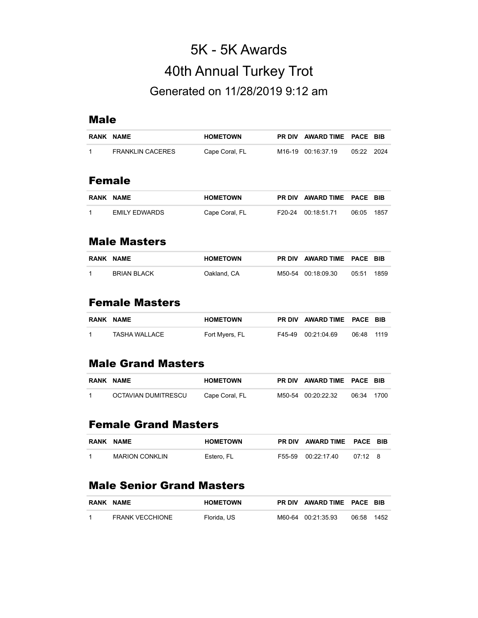# 5K - 5K Awards 40th Annual Turkey Trot Generated on 11/28/2019 9:12 am

#### Male

|      | RANK NAME               | <b>HOMETOWN</b> | <b>PR DIV</b> | <b>AWARD TIME</b> | <b>PACE BIB</b> |      |
|------|-------------------------|-----------------|---------------|-------------------|-----------------|------|
| 1    | <b>FRANKLIN CACERES</b> | Cape Coral, FL  | M16-19        | 00:16:37.19       | 05:22           | 2024 |
|      |                         |                 |               |                   |                 |      |
|      | <b>Female</b>           |                 |               |                   |                 |      |
| RANK | <b>NAME</b>             | <b>HOMETOWN</b> | <b>PR DIV</b> | <b>AWARD TIME</b> | <b>PACE BIB</b> |      |
|      | <b>EMILY EDWARDS</b>    | Cape Coral, FL  | F20-24        | 00:18:51.71       | 06:05           | 1857 |

#### Male Masters

| <b>RANK NAME</b>   | <b>HOMETOWN</b> | PR DIV AWARD TIME PACE BIB |       |      |
|--------------------|-----------------|----------------------------|-------|------|
| <b>BRIAN BLACK</b> | Oakland, CA     | M50-54 00:18:09.30         | 05:51 | 1859 |

# Female Masters

| RANK NAME     | <b>HOMETOWN</b> | PR DIV AWARD TIME PACE BIB |            |  |
|---------------|-----------------|----------------------------|------------|--|
| TASHA WALLACE | Fort Myers, FL  | F45-49 00:21:04.69         | 06:48 1119 |  |

#### Male Grand Masters

| <b>RANK NAME</b>    | <b>HOMETOWN</b> | PR DIV AWARD TIME PACE BIB |            |  |
|---------------------|-----------------|----------------------------|------------|--|
| OCTAVIAN DUMITRESCU | Cape Coral, FL  | M50-54 00:20:22.32         | 06:34 1700 |  |

# Female Grand Masters

| RANK NAME             | <b>HOMETOWN</b> | PR DIV AWARD TIME PACE BIB |                 |  |
|-----------------------|-----------------|----------------------------|-----------------|--|
| <b>MARION CONKLIN</b> | Estero. FL      | F55-59 00:22:17.40         | $07.12 \quad 8$ |  |

#### Male Senior Grand Masters

| <b>RANK NAME</b>       | <b>HOMETOWN</b> | PR DIV AWARD TIME PACE BIB |       |      |
|------------------------|-----------------|----------------------------|-------|------|
| <b>FRANK VECCHIONE</b> | Florida, US     | M60-64 00:21:35.93         | 06:58 | 1452 |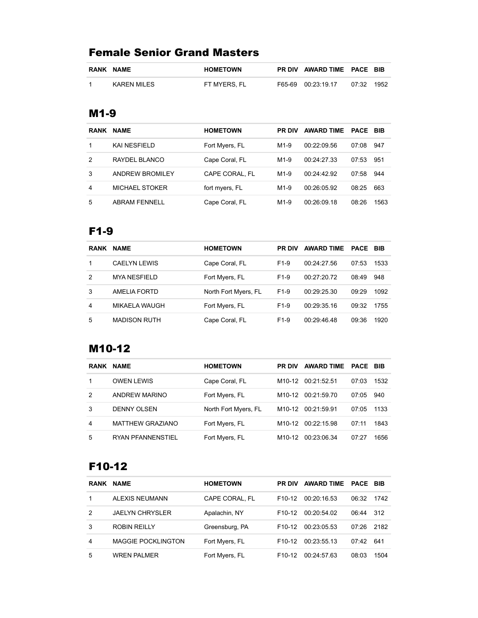# Female Senior Grand Masters

| <b>RANK NAME</b> | <b>HOMETOWN</b> | PR DIV AWARD TIME PACE BIB |       |      |
|------------------|-----------------|----------------------------|-------|------|
| KAREN MILES      | FT MYERS. FL    | F65-69 00:23.19.17         | 07:32 | 1952 |

#### M1-9

| <b>RANK</b> | <b>NAME</b>            | <b>HOMETOWN</b> | <b>PR DIV</b> | <b>AWARD TIME</b> | <b>PACE BIB</b> |      |
|-------------|------------------------|-----------------|---------------|-------------------|-----------------|------|
|             | <b>KAI NESFIELD</b>    | Fort Myers, FL  | $M1-9$        | 00:22:09.56       | 07:08           | 947  |
| 2           | RAYDEL BLANCO          | Cape Coral, FL  | $M1-9$        | 00:24:27.33       | 07:53           | 951  |
| 3           | <b>ANDREW BROMILEY</b> | CAPE CORAL. FL  | $M1-9$        | 00:24:42.92       | 07:58           | 944  |
| 4           | <b>MICHAEL STOKER</b>  | fort myers, FL  | $M1-9$        | 00:26:05.92       | 08:25           | 663  |
| 5           | <b>ABRAM FENNELL</b>   | Cape Coral, FL  | $M1-9$        | 00:26:09.18       | 08:26           | 1563 |

# F1-9

| <b>RANK</b> | <b>NAME</b>         | <b>HOMETOWN</b>      | <b>PR DIV</b>     | AWARD TIME PACE BIB |       |      |
|-------------|---------------------|----------------------|-------------------|---------------------|-------|------|
| 1           | <b>CAELYN LEWIS</b> | Cape Coral, FL       | F <sub>1</sub> -9 | 00:24:27.56         | 07:53 | 1533 |
| 2           | <b>MYA NESFIELD</b> | Fort Myers, FL       | F <sub>1</sub> -9 | 00:27:20.72         | 08:49 | 948  |
| 3           | AMELIA FORTD        | North Fort Myers, FL | $F1-9$            | 00:29:25.30         | 09.29 | 1092 |
| 4           | MIKAELA WAUGH       | Fort Myers, FL       | F <sub>1</sub> -9 | 00:29:35.16         | 09:32 | 1755 |
| 5           | <b>MADISON RUTH</b> | Cape Coral, FL       | $F1-9$            | 00:29:46.48         | 09:36 | 1920 |

# M10-12

| <b>RANK</b> | <b>NAME</b>              | <b>HOMETOWN</b>      | <b>PR DIV</b>      | <b>AWARD TIME</b> | PACE  | <b>BIB</b> |
|-------------|--------------------------|----------------------|--------------------|-------------------|-------|------------|
|             | <b>OWEN LEWIS</b>        | Cape Coral, FL       | M10-12             | 00:21:52.51       | 07:03 | 1532       |
| 2           | ANDREW MARINO            | Fort Myers, FL       | M10-12             | 00:21:59.70       | 07:05 | 940        |
| 3           | <b>DENNY OLSEN</b>       | North Fort Myers, FL | M10-12             | 00:21:59.91       | 07:05 | 1133       |
| 4           | <b>MATTHEW GRAZIANO</b>  | Fort Myers, FL       | M10-12             | 00:22:15.98       | 07:11 | 1843       |
| 5           | <b>RYAN PFANNENSTIEL</b> | Fort Myers, FL       | M <sub>10-12</sub> | 00:23:06.34       | 07:27 | 1656       |

# F10-12

| <b>RANK</b> | <b>NAME</b>               | <b>HOMETOWN</b> | <b>PR DIV</b>       | <b>AWARD TIME</b> | <b>PACE BIB</b> |      |
|-------------|---------------------------|-----------------|---------------------|-------------------|-----------------|------|
|             | ALEXIS NEUMANN            | CAPE CORAL, FL  | F <sub>10-12</sub>  | 00:20:16.53       | 06:32           | 1742 |
| 2           | <b>JAELYN CHRYSLER</b>    | Apalachin, NY   | F <sub>10</sub> -12 | 00:20:54.02       | 06:44           | 312  |
| 3           | <b>ROBIN REILLY</b>       | Greensburg, PA  | F <sub>10</sub> -12 | 00:23:05.53       | 07:26           | 2182 |
| 4           | <b>MAGGIE POCKLINGTON</b> | Fort Myers, FL  | F <sub>10-12</sub>  | 00:23:55.13       | 07:42           | 641  |
| 5           | <b>WREN PALMER</b>        | Fort Myers, FL  | F <sub>10</sub> -12 | 00:24:57.63       | 08:03           | 1504 |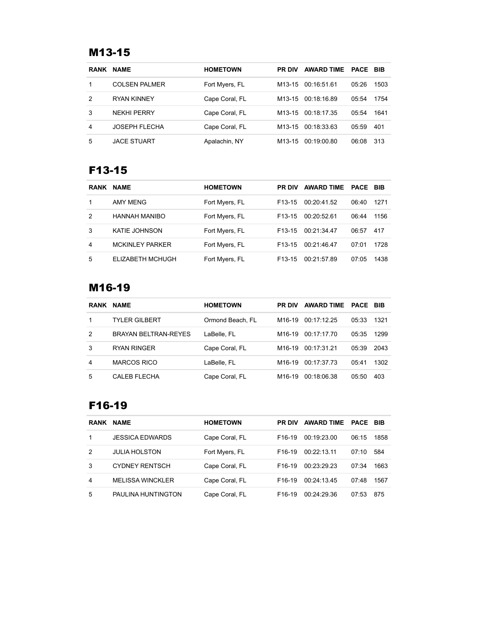# M13-15

| <b>RANK</b> | <b>NAME</b>          | <b>HOMETOWN</b> | <b>PR DIV</b>       | <b>AWARD TIME</b> | <b>PACE</b> | <b>BIB</b> |
|-------------|----------------------|-----------------|---------------------|-------------------|-------------|------------|
|             | <b>COLSEN PALMER</b> | Fort Myers, FL  | M13-15              | 00:16:51.61       | 05:26       | 1503       |
| 2           | <b>RYAN KINNEY</b>   | Cape Coral, FL  | M <sub>13</sub> -15 | 00:18:16.89       | 05:54       | 1754       |
| 3           | NFKHI PFRRY          | Cape Coral, FL  | M13-15              | 00:18:17.35       | 05:54       | 1641       |
| 4           | <b>JOSEPH FLECHA</b> | Cape Coral, FL  | M13-15              | 00:18:33.63       | 05.59       | 401        |
| 5           | <b>JACE STUART</b>   | Apalachin, NY   | M <sub>13</sub> -15 | 00:19:00.80       | 06:08       | 313        |

# F13-15

| <b>RANK</b> | <b>NAME</b>            | <b>HOMETOWN</b> | <b>PR DIV</b>       | <b>AWARD TIME</b> | <b>PACE BIB</b> |      |
|-------------|------------------------|-----------------|---------------------|-------------------|-----------------|------|
|             | AMY MENG               | Fort Myers, FL  | F <sub>13</sub> -15 | 00:20:41.52       | 06:40           | 1271 |
| 2           | HANNAH MANIBO          | Fort Myers, FL  | F <sub>13</sub> -15 | 00:20:52.61       | 06:44           | 1156 |
| 3           | <b>KATIE JOHNSON</b>   | Fort Myers, FL  | F <sub>13</sub> -15 | 00:21:34.47       | 06:57           | 417  |
| 4           | <b>MCKINLEY PARKER</b> | Fort Myers, FL  | F <sub>13</sub> -15 | 00:21:46.47       | 07:01           | 1728 |
| 5           | ELIZABETH MCHUGH       | Fort Myers, FL  | F <sub>13</sub> -15 | 00:21:57.89       | 07:05           | 1438 |

# M16-19

| <b>RANK</b> | <b>NAME</b>          | <b>HOMETOWN</b>  | <b>PR DIV</b>      | <b>AWARD TIME</b> | PACE  | BIB  |
|-------------|----------------------|------------------|--------------------|-------------------|-------|------|
| 1           | <b>TYLER GILBERT</b> | Ormond Beach, FL | M16-19             | 00:17:12.25       | 05:33 | 1321 |
| 2           | BRAYAN BELTRAN-REYES | LaBelle, FL      | M16-19             | 00:17:17.70       | 05:35 | 1299 |
| 3           | <b>RYAN RINGER</b>   | Cape Coral, FL   | M <sub>16-19</sub> | 00:17:31.21       | 05:39 | 2043 |
| 4           | <b>MARCOS RICO</b>   | LaBelle, FL      | M16-19             | 00:17:37.73       | 05:41 | 1302 |
| 5           | <b>CALEB FLECHA</b>  | Cape Coral, FL   | M16-19             | 00:18:06.38       | 05:50 | 403  |

# F16-19

| <b>RANK</b> | <b>NAME</b>             | <b>HOMETOWN</b> | <b>PR DIV</b>       | <b>AWARD TIME</b> | PACE  | - BIB |
|-------------|-------------------------|-----------------|---------------------|-------------------|-------|-------|
|             | <b>JESSICA EDWARDS</b>  | Cape Coral, FL  | F <sub>16</sub> -19 | 00:19:23.00       | 06:15 | 1858  |
| 2           | <b>JULIA HOLSTON</b>    | Fort Myers, FL  | F <sub>16</sub> -19 | 00:22:13:11       | 07:10 | 584   |
| 3           | <b>CYDNEY RENTSCH</b>   | Cape Coral, FL  | F <sub>16</sub> -19 | 00.23.29.23       | 07:34 | 1663  |
| 4           | <b>MELISSA WINCKLER</b> | Cape Coral, FL  | F <sub>16</sub> -19 | 00:24:13.45       | 07:48 | 1567  |
| 5           | PAULINA HUNTINGTON      | Cape Coral, FL  | F <sub>16</sub> -19 | 00:24:29.36       | 07:53 | 875   |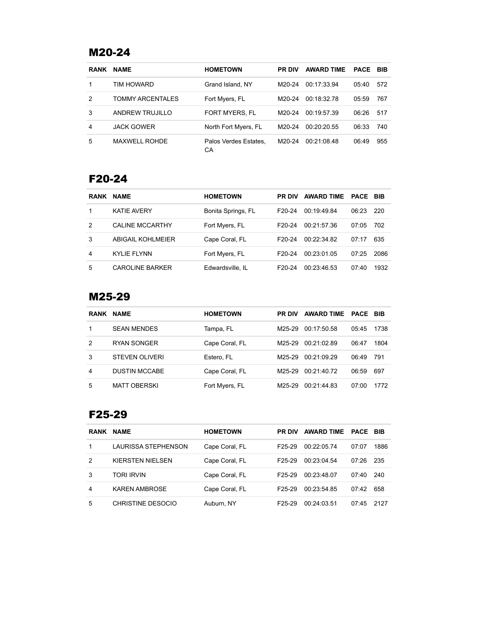# M20-24

| <b>RANK</b>    | <b>NAME</b>             | <b>HOMETOWN</b>             | <b>PR DIV</b> | <b>AWARD TIME</b> | <b>PACE</b> | BIB |
|----------------|-------------------------|-----------------------------|---------------|-------------------|-------------|-----|
| 1              | TIM HOWARD              | Grand Island, NY            | M20-24        | 00 17 33 94       | 05:40       | 572 |
| $\overline{2}$ | <b>TOMMY ARCENTALES</b> | Fort Myers, FL              | M20-24        | 00:18:32.78       | 05:59       | 767 |
| 3              | ANDREW TRUJILLO         | <b>FORT MYERS, FL</b>       | M20-24        | 00 19 57 39       | 06:26       | 517 |
| 4              | <b>JACK GOWER</b>       | North Fort Myers, FL        | M20-24        | 00:20:20.55       | 06:33       | 740 |
| 5              | <b>MAXWELL ROHDE</b>    | Palos Verdes Estates.<br>СA | M20-24        | 00:21:08:48       | 06:49       | 955 |

#### F20-24

| <b>RANK</b> | <b>NAME</b>            | <b>HOMETOWN</b>    | <b>PR DIV</b> | <b>AWARD TIME</b> | <b>PACE BIB</b> |      |
|-------------|------------------------|--------------------|---------------|-------------------|-----------------|------|
|             | <b>KATIF AVERY</b>     | Bonita Springs, FL | F20-24        | 00.19.49.84       | 06:23           | 220  |
| 2           | CALINE MCCARTHY        | Fort Myers, FL     | F20-24        | 00:21:57.36       | 07:05           | 702  |
| 3           | ABIGAIL KOHLMEIER      | Cape Coral, FL     | F20-24        | 00:22:34.82       | 07:17           | 635  |
| 4           | KYLIF FLYNN            | Fort Myers, FL     | F20-24        | 00:23:01.05       | 07:25           | 2086 |
| 5           | <b>CAROLINE BARKER</b> | Edwardsville. IL   | F20-24        | 00:23:46.53       | 07:40           | 1932 |

#### M25-29

| <b>RANK</b> | <b>NAME</b>           | <b>HOMETOWN</b> | <b>PR DIV</b> | <b>AWARD TIME</b> | PACE  | <b>BIB</b> |
|-------------|-----------------------|-----------------|---------------|-------------------|-------|------------|
|             | <b>SEAN MENDES</b>    | Tampa, FL       | M25-29        | 00:17:50.58       | 05:45 | 1738       |
| 2           | <b>RYAN SONGER</b>    | Cape Coral, FL  | M25-29        | 00 21 02 89       | 06:47 | 1804       |
| 3           | <b>STEVEN OLIVERI</b> | Estero, FL      | M25-29        | 00:21:09.29       | 06:49 | 791        |
| 4           | <b>DUSTIN MCCABE</b>  | Cape Coral, FL  | M25-29        | 00:21:40.72       | 06:59 | 697        |
| 5           | <b>MATT OBERSKI</b>   | Fort Myers, FL  | M25-29        | 00:21:44.83       | 07:00 | 1772       |

#### F25-29

| <b>RANK</b> | <b>NAME</b>                | <b>HOMETOWN</b> | <b>PR DIV</b>       | <b>AWARD TIME</b> | PACE  | BIB  |
|-------------|----------------------------|-----------------|---------------------|-------------------|-------|------|
|             | <b>LAURISSA STEPHENSON</b> | Cape Coral, FL  | F <sub>25</sub> -29 | 00:22:05.74       | 07:07 | 1886 |
| 2           | KIFRSTEN NIFLSEN           | Cape Coral, FL  | F <sub>25</sub> -29 | 00:23:04:54       | 07:26 | 235  |
| 3           | TORI IRVIN                 | Cape Coral, FL  | F <sub>25</sub> -29 | 00:23:48.07       | 07:40 | 240  |
| 4           | <b>KAREN AMBROSE</b>       | Cape Coral, FL  | F <sub>25</sub> -29 | 00:23:54.85       | 07:42 | 658  |
| 5           | CHRISTINE DESOCIO          | Auburn, NY      | F <sub>25</sub> -29 | 00:24:03:51       | 07.45 | 2127 |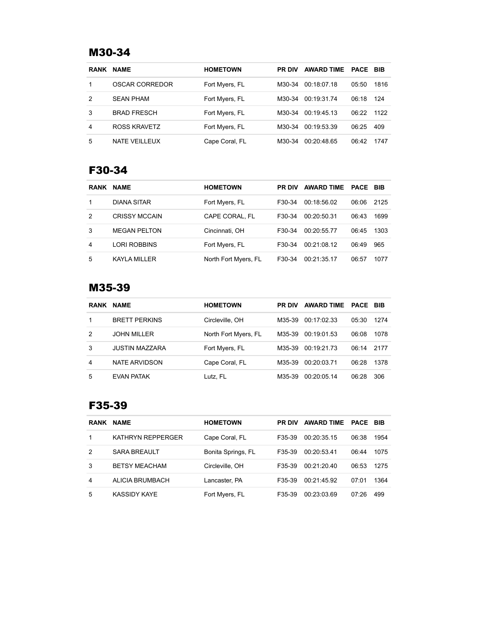# M30-34

| <b>RANK</b> | <b>NAME</b>        | <b>HOMETOWN</b> | <b>PR DIV</b> | <b>AWARD TIME</b> | <b>PACE BIB</b> |      |
|-------------|--------------------|-----------------|---------------|-------------------|-----------------|------|
|             | OSCAR CORREDOR     | Fort Myers, FL  | M30-34        | 00:18:07.18       | 05:50           | 1816 |
| 2           | <b>SEAN PHAM</b>   | Fort Myers, FL  | M30-34        | 00:19:31.74       | 06:18           | 124  |
| 3           | <b>BRAD FRESCH</b> | Fort Myers, FL  | M30-34        | 00:19:45.13       | 06.22           | 1122 |
| 4           | ROSS KRAVETZ       | Fort Myers, FL  | M30-34        | 00:19:53.39       | 06:25           | 409  |
| 5           | NATE VEILLEUX      | Cape Coral, FL  | M30-34        | 00:20:48.65       | 06:42           | 1747 |

# F30-34

| <b>RANK</b> | <b>NAME</b>          | <b>HOMETOWN</b>      | <b>PR DIV</b> | AWARD TIME PACE BIB |       |      |
|-------------|----------------------|----------------------|---------------|---------------------|-------|------|
| 1           | <b>DIANA SITAR</b>   | Fort Myers, FL       | F30-34        | 00:18:56.02         | 06:06 | 2125 |
| 2           | <b>CRISSY MCCAIN</b> | CAPE CORAL. FL       | F30-34        | 00:20:50.31         | 06:43 | 1699 |
| 3           | <b>MEGAN PELTON</b>  | Cincinnati, OH       | F30-34        | 00:20:55.77         | 06:45 | 1303 |
| 4           | <b>LORI ROBBINS</b>  | Fort Myers, FL       | F30-34        | 00:21:08.12         | 06:49 | 965  |
| 5           | <b>KAYLA MILLER</b>  | North Fort Myers, FL | F30-34        | 00:21:35.17         | 06:57 | 1077 |

#### M35-39

| <b>RANK</b> | <b>NAME</b>           | <b>HOMETOWN</b>      | <b>PR DIV</b> | <b>AWARD TIME</b> | <b>PACE</b> | <b>BIB</b> |
|-------------|-----------------------|----------------------|---------------|-------------------|-------------|------------|
|             | <b>BRETT PERKINS</b>  | Circleville, OH      | M35-39        | 00:17:02.33       | 05:30       | 1274       |
| 2           | <b>JOHN MILLER</b>    | North Fort Myers, FL | M35-39        | 00:19:01.53       | 06:08       | 1078       |
| 3           | <b>JUSTIN MAZZARA</b> | Fort Myers, FL       | M35-39        | 00:19:21.73       | 06:14       | 2177       |
| 4           | NATE ARVIDSON         | Cape Coral, FL       | M35-39        | 00:20:03.71       | 06:28       | 1378       |
| 5           | <b>EVAN PATAK</b>     | Lutz, FL             | M35-39        | 00:20:05.14       | 06.28       | 306        |

#### F35-39

| <b>RANK</b> | <b>NAME</b>              | <b>HOMETOWN</b>    | <b>PR DIV</b> | <b>AWARD TIME</b> | <b>PACE</b> | <b>BIB</b> |
|-------------|--------------------------|--------------------|---------------|-------------------|-------------|------------|
|             | <b>KATHRYN REPPERGER</b> | Cape Coral, FL     | F35-39        | 00:20:35.15       | 06:38       | 1954       |
| 2           | <b>SARA BREAULT</b>      | Bonita Springs, FL | F35-39        | 00:20:53:41       | 06:44       | 1075       |
| 3           | <b>BETSY MEACHAM</b>     | Circleville, OH    | F35-39        | 00:21:20.40       | 06:53       | 1275       |
| 4           | ALICIA BRUMBACH          | Lancaster, PA      | F35-39        | 00:21:45.92       | 07:01       | 1364       |
| 5           | KASSIDY KAYF             | Fort Myers, FL     | F35-39        | 00:23:03.69       | 07:26       | 499        |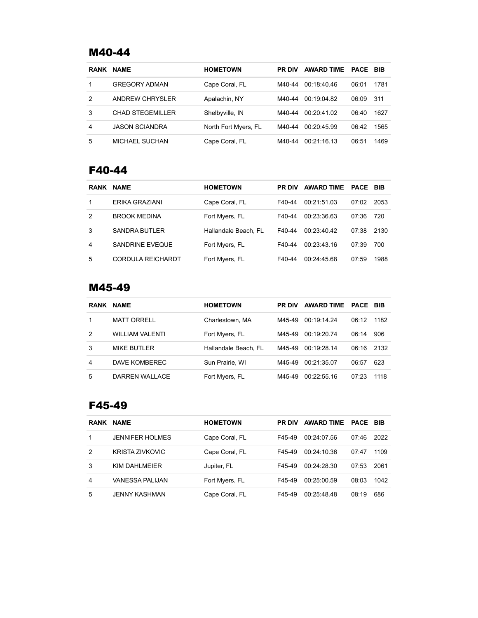#### M40-44

| <b>RANK</b> | <b>NAME</b>             | <b>HOMETOWN</b>      | <b>PR DIV</b> | <b>AWARD TIME</b> | <b>PACE</b> | BIB  |
|-------------|-------------------------|----------------------|---------------|-------------------|-------------|------|
|             | <b>GREGORY ADMAN</b>    | Cape Coral, FL       | M40-44        | 00:18:40:46       | 06:01       | 1781 |
| 2           | <b>ANDREW CHRYSLER</b>  | Apalachin, NY        | M40-44        | 00:19:04.82       | 06:09       | 311  |
| 3           | <b>CHAD STEGEMILLER</b> | Shelbyville, IN      | M40-44        | 00:20:41.02       | 06:40       | 1627 |
| 4           | <b>JASON SCIANDRA</b>   | North Fort Myers, FL | M40-44        | 00:20:45.99       | 06:42       | 1565 |
| 5           | MICHAEL SUCHAN          | Cape Coral, FL       | M40-44        | 00:21:16.13       | 06:51       | 1469 |

# F40-44

| <b>RANK</b> | <b>NAME</b>              | <b>HOMETOWN</b>      | <b>PR DIV</b> | <b>AWARD TIME</b> | <b>PACE BIB</b> |      |
|-------------|--------------------------|----------------------|---------------|-------------------|-----------------|------|
|             | ERIKA GRAZIANI           | Cape Coral, FL       | F40-44        | 00:21:51.03       | 07:02           | 2053 |
| 2           | <b>BROOK MEDINA</b>      | Fort Myers, FL       | F40-44        | 00.23.3663        | 07:36           | 720  |
| 3           | <b>SANDRA BUTLER</b>     | Hallandale Beach, FL | F40-44        | 00.2340.42        | 07:38           | 2130 |
| 4           | <b>SANDRINE EVEQUE</b>   | Fort Myers, FL       | F40-44        | 00:23:43:16       | 07:39           | 700  |
| 5           | <b>CORDULA REICHARDT</b> | Fort Myers, FL       | F40-44        | 00:24:45.68       | 07:59           | 1988 |

#### M45-49

| <b>RANK</b> | <b>NAME</b>        | <b>HOMETOWN</b>      | <b>PR DIV</b> | <b>AWARD TIME</b> | <b>PACE</b> | <b>BIB</b> |
|-------------|--------------------|----------------------|---------------|-------------------|-------------|------------|
|             | <b>MATT ORRELL</b> | Charlestown, MA      | M45-49        | 00:19:14.24       | 06.12       | 1182       |
| 2           | WILLIAM VALENTI    | Fort Myers, FL       | M45-49        | 00:19:20.74       | 06:14       | 906        |
| 3           | <b>MIKE BUTLER</b> | Hallandale Beach, FL | M45-49        | 00:19:28:14       | 06:16       | 2132       |
| 4           | DAVE KOMBEREC      | Sun Prairie, WI      | M45-49        | 00:21:35.07       | 06:57       | 623        |
| 5           | DARREN WALLACE     | Fort Myers, FL       | M45-49        | 00.22.55.16       | 07:23       | 1118       |

#### F45-49

| <b>RANK</b> | <b>NAME</b>            | <b>HOMETOWN</b> | <b>PR DIV</b> | <b>AWARD TIME</b> | <b>PACE</b> | <b>BIB</b> |
|-------------|------------------------|-----------------|---------------|-------------------|-------------|------------|
|             | <b>JENNIFER HOLMES</b> | Cape Coral, FL  | F45-49        | 00:24:07.56       | 07:46       | 2022       |
| 2           | KRISTA ZIVKOVIC        | Cape Coral, FL  | F45-49        | 00:24:10:36       | 07.47       | 1109       |
| 3           | KIM DAHI MEIFR         | Jupiter, FL     | F45-49        | 00:24:28.30       | 07:53       | 2061       |
| 4           | VANESSA PALIJAN        | Fort Myers, FL  | F45-49        | 00:25:00.59       | 08:03       | 1042       |
| 5           | <b>JENNY KASHMAN</b>   | Cape Coral, FL  | F45-49        | 00:25:48.48       | 08:19       | 686        |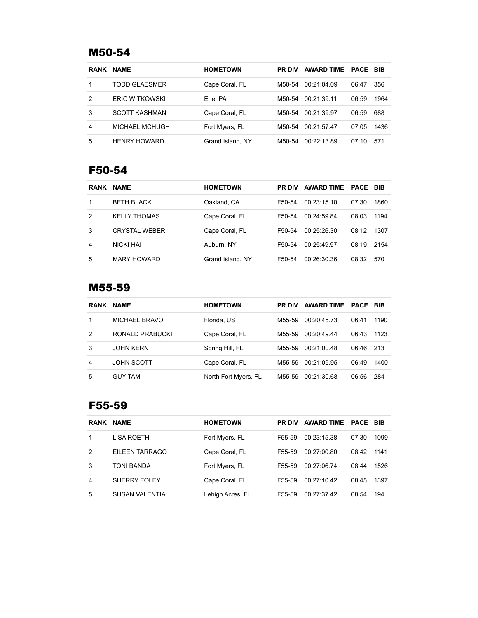## M50-54

| <b>RANK</b> | <b>NAME</b>           | <b>HOMETOWN</b>  | <b>PR DIV</b> | <b>AWARD TIME</b> | PACE  | <b>BIB</b> |
|-------------|-----------------------|------------------|---------------|-------------------|-------|------------|
|             | TODD GLAESMER         | Cape Coral, FL   | M50-54        | 00:21:04.09       | 06:47 | 356        |
| 2           | <b>ERIC WITKOWSKI</b> | Erie, PA         | M50-54        | 00:21:39.11       | 06:59 | 1964       |
| 3           | <b>SCOTT KASHMAN</b>  | Cape Coral, FL   | M50-54        | 00:21:39.97       | 06:59 | 688        |
| 4           | MICHAEL MCHUGH        | Fort Myers, FL   | M50-54        | 00:21:57.47       | 07:05 | 1436       |
| 5           | <b>HENRY HOWARD</b>   | Grand Island, NY | M50-54        | 00:22:13.89       | 07:10 | 571        |

# F50-54

| <b>RANK</b> | <b>NAME</b>          | <b>HOMETOWN</b>  | <b>PR DIV</b> | <b>AWARD TIME</b> | <b>PACE</b> | <b>BIB</b> |
|-------------|----------------------|------------------|---------------|-------------------|-------------|------------|
| 1           | <b>BETH BLACK</b>    | Oakland, CA      | F50-54        | 00.23.15.10       | 07:30       | 1860       |
| 2           | <b>KELLY THOMAS</b>  | Cape Coral, FL   | F50-54        | 00:24:59.84       | 08:03       | 1194       |
| 3           | <b>CRYSTAL WEBER</b> | Cape Coral, FL   | F50-54        | 00.25.26.30       | 08:12       | 1307       |
| 4           | NICKI HAI            | Auburn, NY       | F50-54        | 00:25:49.97       | 08:19       | 2154       |
| 5           | <b>MARY HOWARD</b>   | Grand Island, NY | F50-54        | 00:26:30:36       | 08:32       | 570        |

#### M55-59

| <b>RANK</b> | <b>NAME</b>       | <b>HOMETOWN</b>      | <b>PR DIV</b> | <b>AWARD TIME</b> | <b>PACE</b> | <b>BIB</b> |
|-------------|-------------------|----------------------|---------------|-------------------|-------------|------------|
|             | MICHAEL BRAVO     | Florida, US          | M55-59        | 00:20:45.73       | 06:41       | 1190       |
| 2           | RONALD PRABUCKI   | Cape Coral, FL       | M55-59        | 00.20.49.44       | 06:43       | 1123       |
| 3           | <b>JOHN KERN</b>  | Spring Hill, FL      | M55-59        | 00:21:00.48       | 06:46       | 213        |
| 4           | <b>JOHN SCOTT</b> | Cape Coral, FL       | M55-59        | 00:21:09.95       | 06:49       | 1400       |
| 5           | <b>GUY TAM</b>    | North Fort Myers, FL | M55-59        | 00:21:30.68       | 06:56       | 284        |

#### F55-59

| <b>RANK</b> | <b>NAME</b>           | <b>HOMETOWN</b>  | <b>PR DIV</b> | <b>AWARD TIME</b> | <b>PACE</b> | BIB  |
|-------------|-----------------------|------------------|---------------|-------------------|-------------|------|
| 1           | LISA ROETH            | Fort Myers, FL   | F55-59        | 00:23:15.38       | 07:30       | 1099 |
| 2           | EILEEN TARRAGO        | Cape Coral, FL   | F55-59        | 00:27:00.80       | 08:42       | 1141 |
| 3           | TONI BANDA            | Fort Myers, FL   | F55-59        | 00:27:06.74       | 08:44       | 1526 |
| 4           | SHERRY FOLEY          | Cape Coral, FL   | F55-59        | 00:27:10.42       | 08:45       | 1397 |
| 5           | <b>SUSAN VALENTIA</b> | Lehigh Acres, FL | F55-59        | 00.27.37.42       | 08:54       | 194  |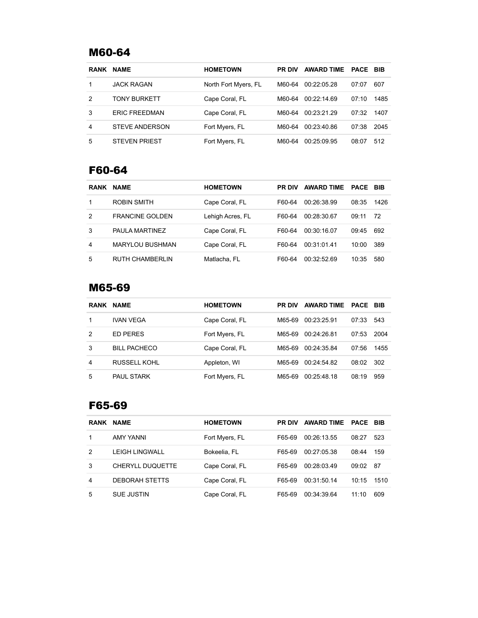# M60-64

| <b>RANK</b> | <b>NAME</b>           | <b>HOMETOWN</b>      | <b>PR DIV</b> | <b>AWARD TIME</b> | PACE  | <b>BIB</b> |
|-------------|-----------------------|----------------------|---------------|-------------------|-------|------------|
|             | <b>JACK RAGAN</b>     | North Fort Myers, FL | M60-64        | 00:22:05.28       | 07:07 | 607        |
| 2           | <b>TONY BURKETT</b>   | Cape Coral, FL       | M60-64        | 00:22:14.69       | 07:10 | 1485       |
| 3           | <b>ERIC FREEDMAN</b>  | Cape Coral, FL       | M60-64        | 00.23.21.29       | 07:32 | 1407       |
| 4           | <b>STEVE ANDERSON</b> | Fort Myers, FL       | M60-64        | 00:23:40.86       | 07:38 | 2045       |
| 5           | <b>STEVEN PRIEST</b>  | Fort Myers, FL       | M60-64        | 00:25:09.95       | 08:07 | 512        |

# F60-64

| <b>RANK</b> | <b>NAME</b>            | <b>HOMETOWN</b>  | <b>PR DIV</b> | <b>AWARD TIME</b> | PACE  | BIB  |
|-------------|------------------------|------------------|---------------|-------------------|-------|------|
| 1           | ROBIN SMITH            | Cape Coral, FL   | F60-64        | 00:26:38.99       | 08:35 | 1426 |
| 2           | <b>FRANCINE GOLDEN</b> | Lehigh Acres, FL | F60-64        | 00:28:30.67       | 09:11 | 72   |
| 3           | PAULA MARTINEZ         | Cape Coral, FL   | F60-64        | 00:30:16.07       | 09:45 | 692  |
| 4           | <b>MARYLOU BUSHMAN</b> | Cape Coral, FL   | F60-64        | 00:31:01:41       | 10:00 | 389  |
| 5           | <b>RUTH CHAMBERLIN</b> | Matlacha, FL     | F60-64        | 00.32.52.69       | 10:35 | 580  |

#### M65-69

| <b>RANK</b> | <b>NAME</b>         | <b>HOMETOWN</b> | <b>PR DIV</b> | <b>AWARD TIME</b> | PACE  | BIB  |
|-------------|---------------------|-----------------|---------------|-------------------|-------|------|
| 1           | <b>IVAN VEGA</b>    | Cape Coral, FL  | M65-69        | 00:23:25.91       | 07:33 | 543  |
| 2           | <b>FD PERES</b>     | Fort Myers, FL  | M65-69        | 00:24:26.81       | 07:53 | 2004 |
| 3           | <b>BILL PACHECO</b> | Cape Coral, FL  | M65-69        | 00:24:35.84       | 07:56 | 1455 |
| 4           | <b>RUSSELL KOHL</b> | Appleton, WI    | M65-69        | 00:24:54.82       | 08:02 | 302  |
| 5           | <b>PAUL STARK</b>   | Fort Myers, FL  | M65-69        | 00:25:48.18       | 08:19 | 959  |

#### F65-69

| <b>RANK</b> | <b>NAME</b>             | <b>HOMETOWN</b> | <b>PR DIV</b> | <b>AWARD TIME</b> | <b>PACE</b> | BIB  |
|-------------|-------------------------|-----------------|---------------|-------------------|-------------|------|
| 1           | AMY YANNI               | Fort Myers, FL  | F65-69        | 00:26:13.55       | 08:27       | 523  |
| 2           | <b>LEIGH LINGWALL</b>   | Bokeelia, FL    | F65-69        | 00:27:05:38       | 08:44       | 159  |
| 3           | <b>CHERYLL DUQUETTE</b> | Cape Coral, FL  | F65-69        | 00:28:03.49       | 09:02       | 87   |
| 4           | <b>DEBORAH STETTS</b>   | Cape Coral, FL  | F65-69        | 00:31:50.14       | 10:15       | 1510 |
| 5           | <b>SUE JUSTIN</b>       | Cape Coral, FL  | F65-69        | 00:34:39.64       | 11:10       | 609  |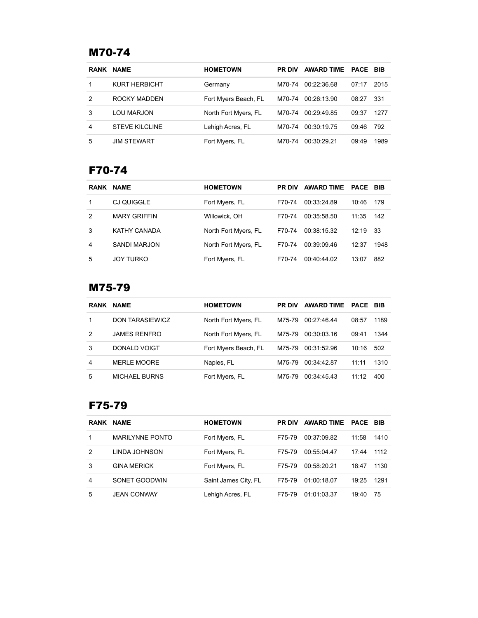# M70-74

| <b>RANK</b> | <b>NAME</b>           | <b>HOMETOWN</b>      | <b>PR DIV</b> | <b>AWARD TIME</b> | PACE  | BIB  |
|-------------|-----------------------|----------------------|---------------|-------------------|-------|------|
|             | KURT HERBICHT         | Germany              | M70-74        | 00:22:36.68       | 07:17 | 2015 |
| 2           | ROCKY MADDEN          | Fort Myers Beach, FL | M70-74        | 00:26:13.90       | 08:27 | 331  |
| 3           | LOU MARJON            | North Fort Myers, FL | M70-74        | 00:29:49.85       | 09:37 | 1277 |
| 4           | <b>STEVE KILCLINE</b> | Lehigh Acres, FL     | M70-74        | 00:30:19.75       | 09:46 | 792  |
| 5           | <b>JIM STEWART</b>    | Fort Myers, FL       | M70-74        | 00:30:29.21       | 09:49 | 1989 |

# F70-74

| <b>RANK</b> | <b>NAME</b>         | <b>HOMETOWN</b>      | <b>PR DIV</b> | <b>AWARD TIME</b> | PACE  | BIB  |
|-------------|---------------------|----------------------|---------------|-------------------|-------|------|
| 1           | CJ QUIGGLE          | Fort Myers, FL       | F70-74        | 00:33:24.89       | 10:46 | 179  |
| 2           | <b>MARY GRIFFIN</b> | Willowick, OH        | F70-74        | 00:35:58.50       | 11:35 | 142  |
| 3           | KATHY CANADA        | North Fort Myers, FL | F70-74        | 00:38:15.32       | 12:19 | 33   |
| 4           | SANDI MARJON        | North Fort Myers, FL | F70-74        | 00.390946         | 12:37 | 1948 |
| 5           | <b>JOY TURKO</b>    | Fort Myers, FL       | F70-74        | 00:40:44.02       | 13:07 | 882  |

#### M75-79

| <b>RANK</b> | <b>NAME</b>            | <b>HOMETOWN</b>      | <b>PR DIV</b> | <b>AWARD TIME</b> | <b>PACE</b> | BIB  |
|-------------|------------------------|----------------------|---------------|-------------------|-------------|------|
|             | <b>DON TARASIEWICZ</b> | North Fort Myers, FL | M75-79        | 00:27:46:44       | 08:57       | 1189 |
| 2           | <b>JAMES RENFRO</b>    | North Fort Myers, FL | M75-79        | 00:30:03.16       | 09:41       | 1344 |
| 3           | DONALD VOIGT           | Fort Myers Beach, FL | M75-79        | 00:31:52.96       | 10:16       | 502  |
| 4           | <b>MERLE MOORE</b>     | Naples, FL           | M75-79        | 00:34:42.87       | 11:11       | 1310 |
| 5           | <b>MICHAEL BURNS</b>   | Fort Myers, FL       | M75-79        | 00:34:45:43       | 11:12       | 400  |

#### F75-79

| <b>RANK</b> | <b>NAME</b>            | <b>HOMETOWN</b>      | <b>PR DIV</b> | <b>AWARD TIME</b> | <b>PACE</b> | BIB  |
|-------------|------------------------|----------------------|---------------|-------------------|-------------|------|
|             | <b>MARILYNNE PONTO</b> | Fort Myers, FL       | F75-79        | 00:37:09.82       | 11:58       | 1410 |
| 2           | LINDA JOHNSON          | Fort Myers, FL       | F75-79        | 00:55:04.47       | 17:44       | 1112 |
| 3           | <b>GINA MERICK</b>     | Fort Myers, FL       | F75-79        | 00:58:20.21       | 18:47       | 1130 |
| 4           | SONET GOODWIN          | Saint James City, FL | F75-79        | 01:00:18.07       | 19:25       | 1291 |
| 5           | <b>JEAN CONWAY</b>     | Lehigh Acres, FL     | F75-79        | 01:01:03.37       | 19:40       | 75   |